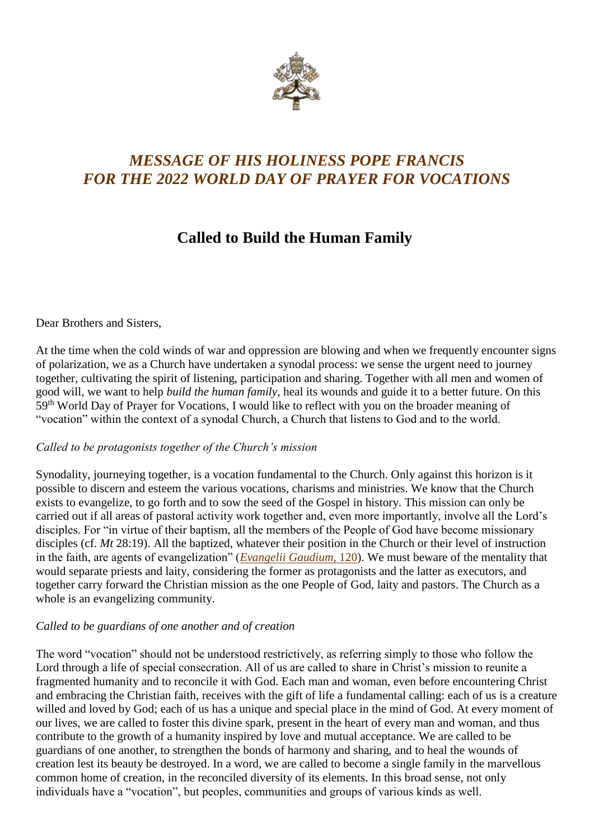

# *MESSAGE OF HIS HOLINESS POPE FRANCIS FOR THE 2022 WORLD DAY OF PRAYER FOR VOCATIONS*

# **Called to Build the Human Family**

Dear Brothers and Sisters,

At the time when the cold winds of war and oppression are blowing and when we frequently encounter signs of polarization, we as a Church have undertaken a synodal process: we sense the urgent need to journey together, cultivating the spirit of listening, participation and sharing. Together with all men and women of good will, we want to help *build the human family*, heal its wounds and guide it to a better future. On this 59<sup>th</sup> World Day of Prayer for Vocations, I would like to reflect with you on the broader meaning of "vocation" within the context of a synodal Church, a Church that listens to God and to the world.

# *Called to be protagonists together of the Church's mission*

Synodality, journeying together, is a vocation fundamental to the Church. Only against this horizon is it possible to discern and esteem the various vocations, charisms and ministries. We know that the Church exists to evangelize, to go forth and to sow the seed of the Gospel in history. This mission can only be carried out if all areas of pastoral activity work together and, even more importantly, involve all the Lord's disciples. For "in virtue of their baptism, all the members of the People of God have become missionary disciples (cf. *Mt* 28:19). All the baptized, whatever their position in the Church or their level of instruction in the faith, are agents of evangelization" (*[Evangelii Gaudium](https://www.vatican.va/content/francesco/en/apost_exhortations/documents/papa-francesco_esortazione-ap_20131124_evangelii-gaudium.html#We_are_all_missionary_disciples)*, 120). We must beware of the mentality that would separate priests and laity, considering the former as protagonists and the latter as executors, and together carry forward the Christian mission as the one People of God, laity and pastors. The Church as a whole is an evangelizing community.

# *Called to be guardians of one another and of creation*

The word "vocation" should not be understood restrictively, as referring simply to those who follow the Lord through a life of special consecration. All of us are called to share in Christ's mission to reunite a fragmented humanity and to reconcile it with God. Each man and woman, even before encountering Christ and embracing the Christian faith, receives with the gift of life a fundamental calling: each of us is a creature willed and loved by God; each of us has a unique and special place in the mind of God. At every moment of our lives, we are called to foster this divine spark, present in the heart of every man and woman, and thus contribute to the growth of a humanity inspired by love and mutual acceptance. We are called to be guardians of one another, to strengthen the bonds of harmony and sharing, and to heal the wounds of creation lest its beauty be destroyed. In a word, we are called to become a single family in the marvellous common home of creation, in the reconciled diversity of its elements. In this broad sense, not only individuals have a "vocation", but peoples, communities and groups of various kinds as well.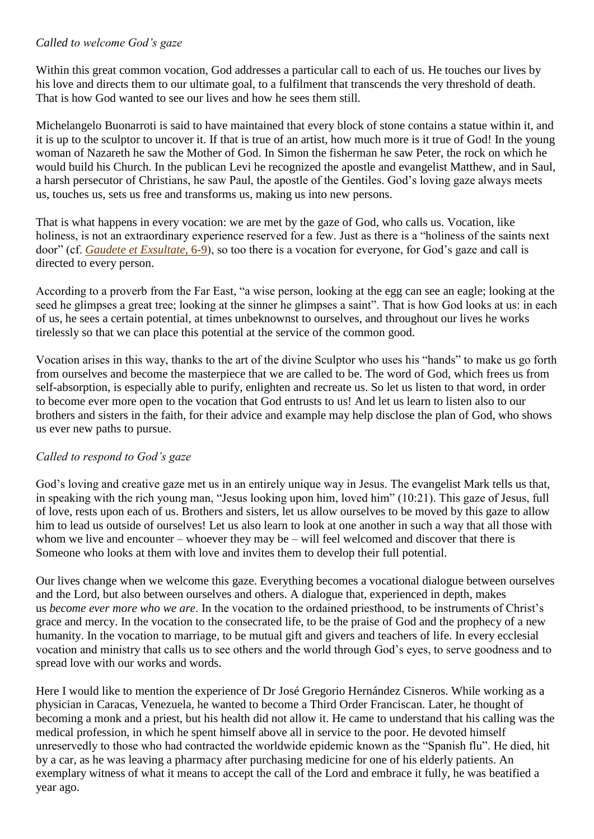# *Called to welcome God's gaze*

Within this great common vocation, God addresses a particular call to each of us. He touches our lives by his love and directs them to our ultimate goal, to a fulfilment that transcends the very threshold of death. That is how God wanted to see our lives and how he sees them still.

Michelangelo Buonarroti is said to have maintained that every block of stone contains a statue within it, and it is up to the sculptor to uncover it. If that is true of an artist, how much more is it true of God! In the young woman of Nazareth he saw the Mother of God. In Simon the fisherman he saw Peter, the rock on which he would build his Church. In the publican Levi he recognized the apostle and evangelist Matthew, and in Saul, a harsh persecutor of Christians, he saw Paul, the apostle of the Gentiles. God's loving gaze always meets us, touches us, sets us free and transforms us, making us into new persons.

That is what happens in every vocation: we are met by the gaze of God, who calls us. Vocation, like holiness, is not an extraordinary experience reserved for a few. Just as there is a "holiness of the saints next door" (cf. *[Gaudete et Exsultate](https://www.vatican.va/content/francesco/en/apost_exhortations/documents/papa-francesco_esortazione-ap_20180319_gaudete-et-exsultate.html#THE_SAINTS_%E2%80%9CNEXT_DOOR%E2%80%9D)*, 6-9), so too there is a vocation for everyone, for God's gaze and call is directed to every person.

According to a proverb from the Far East, "a wise person, looking at the egg can see an eagle; looking at the seed he glimpses a great tree; looking at the sinner he glimpses a saint". That is how God looks at us: in each of us, he sees a certain potential, at times unbeknownst to ourselves, and throughout our lives he works tirelessly so that we can place this potential at the service of the common good.

Vocation arises in this way, thanks to the art of the divine Sculptor who uses his "hands" to make us go forth from ourselves and become the masterpiece that we are called to be. The word of God, which frees us from self-absorption, is especially able to purify, enlighten and recreate us. So let us listen to that word, in order to become ever more open to the vocation that God entrusts to us! And let us learn to listen also to our brothers and sisters in the faith, for their advice and example may help disclose the plan of God, who shows us ever new paths to pursue.

# *Called to respond to God's gaze*

God's loving and creative gaze met us in an entirely unique way in Jesus. The evangelist Mark tells us that, in speaking with the rich young man, "Jesus looking upon him, loved him" (10:21). This gaze of Jesus, full of love, rests upon each of us. Brothers and sisters, let us allow ourselves to be moved by this gaze to allow him to lead us outside of ourselves! Let us also learn to look at one another in such a way that all those with whom we live and encounter – whoever they may be – will feel welcomed and discover that there is Someone who looks at them with love and invites them to develop their full potential.

Our lives change when we welcome this gaze. Everything becomes a vocational dialogue between ourselves and the Lord, but also between ourselves and others. A dialogue that, experienced in depth, makes us *become ever more who we are*. In the vocation to the ordained priesthood, to be instruments of Christ's grace and mercy. In the vocation to the consecrated life, to be the praise of God and the prophecy of a new humanity. In the vocation to marriage, to be mutual gift and givers and teachers of life. In every ecclesial vocation and ministry that calls us to see others and the world through God's eyes, to serve goodness and to spread love with our works and words.

Here I would like to mention the experience of Dr José Gregorio Hernández Cisneros. While working as a physician in Caracas, Venezuela, he wanted to become a Third Order Franciscan. Later, he thought of becoming a monk and a priest, but his health did not allow it. He came to understand that his calling was the medical profession, in which he spent himself above all in service to the poor. He devoted himself unreservedly to those who had contracted the worldwide epidemic known as the "Spanish flu". He died, hit by a car, as he was leaving a pharmacy after purchasing medicine for one of his elderly patients. An exemplary witness of what it means to accept the call of the Lord and embrace it fully, he was beatified a year ago.